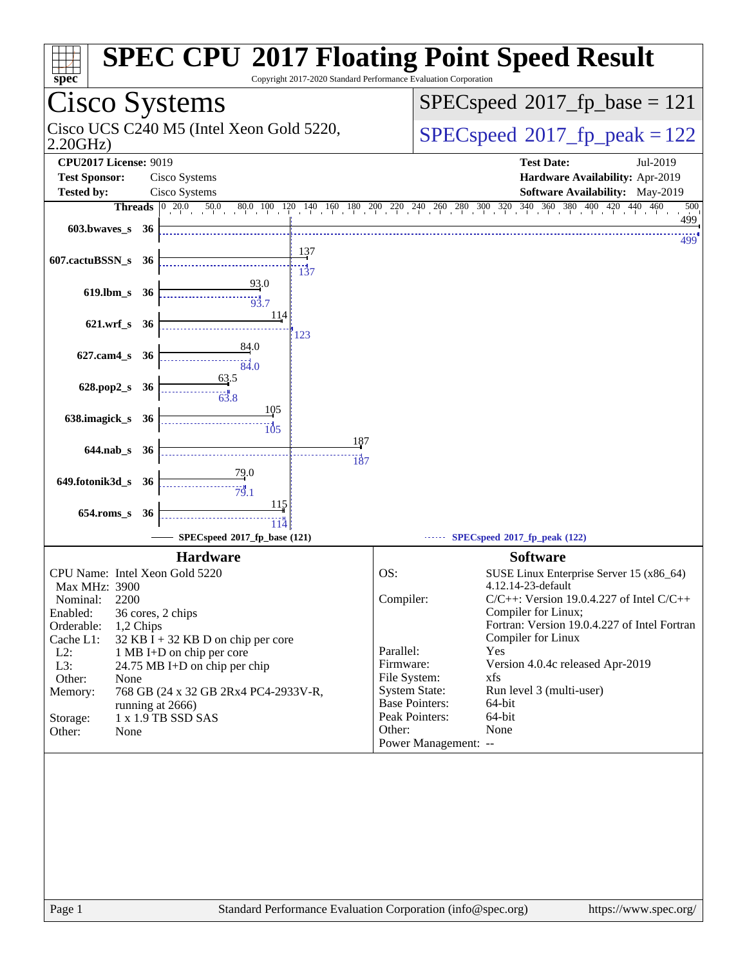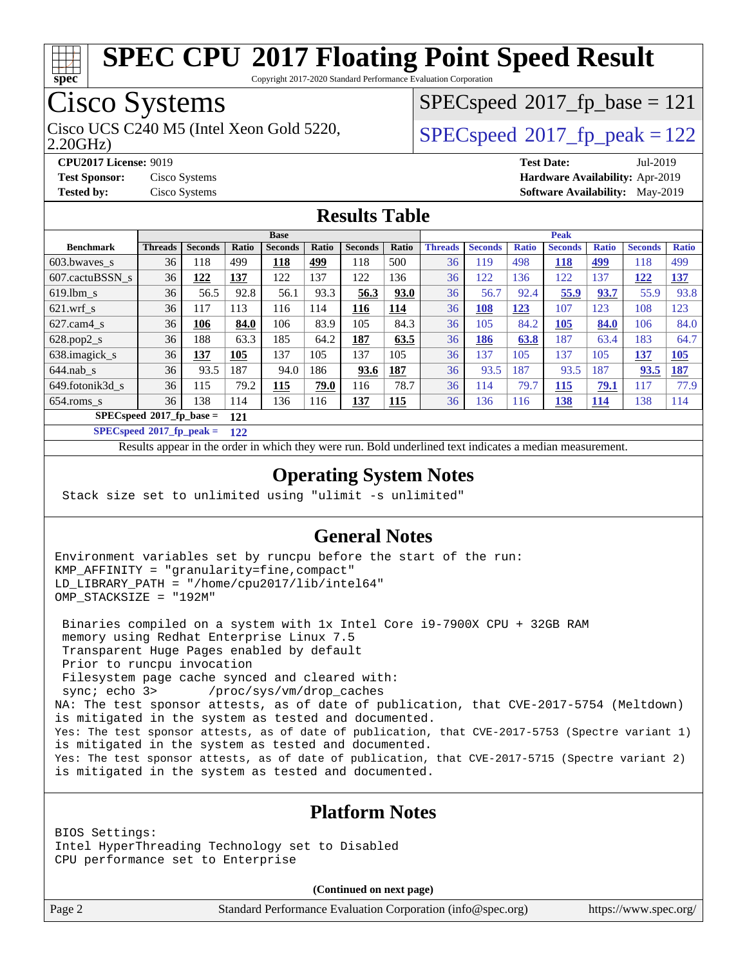

Copyright 2017-2020 Standard Performance Evaluation Corporation

# Cisco Systems

2.20GHz) Cisco UCS C240 M5 (Intel Xeon Gold 5220,  $\vert$  [SPECspeed](http://www.spec.org/auto/cpu2017/Docs/result-fields.html#SPECspeed2017fppeak)®2017 fp\_peak = 122

[SPECspeed](http://www.spec.org/auto/cpu2017/Docs/result-fields.html#SPECspeed2017fpbase)<sup>®</sup>2017 fp base = 121

**[CPU2017 License:](http://www.spec.org/auto/cpu2017/Docs/result-fields.html#CPU2017License)** 9019 **[Test Date:](http://www.spec.org/auto/cpu2017/Docs/result-fields.html#TestDate)** Jul-2019 **[Test Sponsor:](http://www.spec.org/auto/cpu2017/Docs/result-fields.html#TestSponsor)** Cisco Systems **[Hardware Availability:](http://www.spec.org/auto/cpu2017/Docs/result-fields.html#HardwareAvailability)** Apr-2019 **[Tested by:](http://www.spec.org/auto/cpu2017/Docs/result-fields.html#Testedby)** Cisco Systems **[Software Availability:](http://www.spec.org/auto/cpu2017/Docs/result-fields.html#SoftwareAvailability)** May-2019

### **[Results Table](http://www.spec.org/auto/cpu2017/Docs/result-fields.html#ResultsTable)**

|                                    | <b>Base</b> |                |       |                |       | <b>Peak</b>    |            |                |                |              |                |              |                |              |
|------------------------------------|-------------|----------------|-------|----------------|-------|----------------|------------|----------------|----------------|--------------|----------------|--------------|----------------|--------------|
| <b>Benchmark</b>                   | Threads     | <b>Seconds</b> | Ratio | <b>Seconds</b> | Ratio | <b>Seconds</b> | Ratio      | <b>Threads</b> | <b>Seconds</b> | <b>Ratio</b> | <b>Seconds</b> | <b>Ratio</b> | <b>Seconds</b> | <b>Ratio</b> |
| $603.bwaves$ s                     | 36          | 118            | 499   | 118            | 499   | 118            | 500        | 36             | 119            | 498          | 118            | 499          | 118            | 499          |
| 607.cactuBSSN s                    | 36          | <u>122</u>     | 137   | 122            | 137   | 122            | 136        | 36             | 122            | 136          | 122            | 137          | 122            | <u>137</u>   |
| $619.1$ bm s                       | 36          | 56.5           | 92.8  | 56.1           | 93.3  | 56.3           | 93.0       | 36             | 56.7           | 92.4         | 55.9           | 93.7         | 55.9           | 93.8         |
| $621$ .wrf s                       | 36          | 117            | 113   | 116            | 114   | <u>116</u>     | <u>114</u> | 36             | <b>108</b>     | 123          | 107            | 123          | 108            | 123          |
| $627$ .cam $4 \text{ s}$           | 36          | 106            | 84.0  | 106            | 83.9  | 105            | 84.3       | 36             | 105            | 84.2         | 105            | 84.0         | 106            | 84.0         |
| $628.pop2_s$                       | 36          | 188            | 63.3  | 185            | 64.2  | 187            | 63.5       | 36             | 186            | 63.8         | 187            | 63.4         | 183            | 64.7         |
| 638.imagick_s                      | 36          | 137            | 105   | 137            | 105   | 137            | 105        | 36             | 137            | 105          | 137            | 105          | 137            | <b>105</b>   |
| $644$ .nab s                       | 36          | 93.5           | 187   | 94.0           | 186   | 93.6           | 187        | 36             | 93.5           | 187          | 93.5           | 187          | 93.5           | 187          |
| 649.fotonik3d s                    | 36          | 115            | 79.2  | 115            | 79.0  | 116            | 78.7       | 36             | 114            | 79.7         | 115            | 79.1         | 117            | 77.9         |
| $654$ .roms s                      | 36          | 138            | 114   | 136            | 116   | <u>137</u>     | <b>115</b> | 36             | 136            | 116          | <u>138</u>     | <b>114</b>   | 138            | 114          |
| $SPECspeed*2017_fp\_base =$<br>121 |             |                |       |                |       |                |            |                |                |              |                |              |                |              |

**[SPECspeed](http://www.spec.org/auto/cpu2017/Docs/result-fields.html#SPECspeed2017fppeak)[2017\\_fp\\_peak =](http://www.spec.org/auto/cpu2017/Docs/result-fields.html#SPECspeed2017fppeak) 122**

Results appear in the [order in which they were run.](http://www.spec.org/auto/cpu2017/Docs/result-fields.html#RunOrder) Bold underlined text [indicates a median measurement](http://www.spec.org/auto/cpu2017/Docs/result-fields.html#Median).

### **[Operating System Notes](http://www.spec.org/auto/cpu2017/Docs/result-fields.html#OperatingSystemNotes)**

Stack size set to unlimited using "ulimit -s unlimited"

### **[General Notes](http://www.spec.org/auto/cpu2017/Docs/result-fields.html#GeneralNotes)**

Environment variables set by runcpu before the start of the run: KMP\_AFFINITY = "granularity=fine,compact" LD\_LIBRARY\_PATH = "/home/cpu2017/lib/intel64" OMP STACKSIZE = "192M"

 Binaries compiled on a system with 1x Intel Core i9-7900X CPU + 32GB RAM memory using Redhat Enterprise Linux 7.5 Transparent Huge Pages enabled by default Prior to runcpu invocation Filesystem page cache synced and cleared with: sync; echo 3> /proc/sys/vm/drop\_caches NA: The test sponsor attests, as of date of publication, that CVE-2017-5754 (Meltdown) is mitigated in the system as tested and documented. Yes: The test sponsor attests, as of date of publication, that CVE-2017-5753 (Spectre variant 1) is mitigated in the system as tested and documented. Yes: The test sponsor attests, as of date of publication, that CVE-2017-5715 (Spectre variant 2) is mitigated in the system as tested and documented.

### **[Platform Notes](http://www.spec.org/auto/cpu2017/Docs/result-fields.html#PlatformNotes)**

BIOS Settings: Intel HyperThreading Technology set to Disabled CPU performance set to Enterprise

**(Continued on next page)**

Page 2 Standard Performance Evaluation Corporation [\(info@spec.org\)](mailto:info@spec.org) <https://www.spec.org/>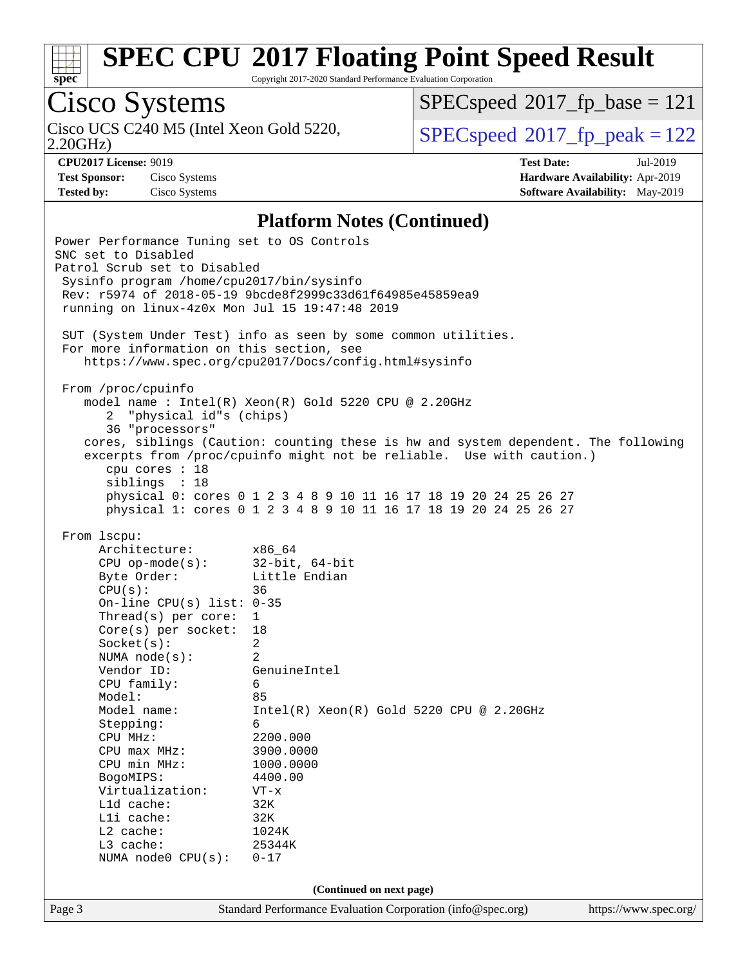

Copyright 2017-2020 Standard Performance Evaluation Corporation

# Cisco Systems

2.20GHz) Cisco UCS C240 M5 (Intel Xeon Gold 5220,  $\vert$  [SPECspeed](http://www.spec.org/auto/cpu2017/Docs/result-fields.html#SPECspeed2017fppeak)®[2017\\_fp\\_peak = 1](http://www.spec.org/auto/cpu2017/Docs/result-fields.html#SPECspeed2017fppeak)22

[SPECspeed](http://www.spec.org/auto/cpu2017/Docs/result-fields.html#SPECspeed2017fpbase)<sup>®</sup>2017 fp base = 121

**[Test Sponsor:](http://www.spec.org/auto/cpu2017/Docs/result-fields.html#TestSponsor)** Cisco Systems **[Hardware Availability:](http://www.spec.org/auto/cpu2017/Docs/result-fields.html#HardwareAvailability)** Apr-2019

**[CPU2017 License:](http://www.spec.org/auto/cpu2017/Docs/result-fields.html#CPU2017License)** 9019 **[Test Date:](http://www.spec.org/auto/cpu2017/Docs/result-fields.html#TestDate)** Jul-2019 **[Tested by:](http://www.spec.org/auto/cpu2017/Docs/result-fields.html#Testedby)** Cisco Systems **[Software Availability:](http://www.spec.org/auto/cpu2017/Docs/result-fields.html#SoftwareAvailability)** May-2019

### **[Platform Notes \(Continued\)](http://www.spec.org/auto/cpu2017/Docs/result-fields.html#PlatformNotes)**

Page 3 Standard Performance Evaluation Corporation [\(info@spec.org\)](mailto:info@spec.org) <https://www.spec.org/> Power Performance Tuning set to OS Controls SNC set to Disabled Patrol Scrub set to Disabled Sysinfo program /home/cpu2017/bin/sysinfo Rev: r5974 of 2018-05-19 9bcde8f2999c33d61f64985e45859ea9 running on linux-4z0x Mon Jul 15 19:47:48 2019 SUT (System Under Test) info as seen by some common utilities. For more information on this section, see <https://www.spec.org/cpu2017/Docs/config.html#sysinfo> From /proc/cpuinfo model name : Intel(R) Xeon(R) Gold 5220 CPU @ 2.20GHz 2 "physical id"s (chips) 36 "processors" cores, siblings (Caution: counting these is hw and system dependent. The following excerpts from /proc/cpuinfo might not be reliable. Use with caution.) cpu cores : 18 siblings : 18 physical 0: cores 0 1 2 3 4 8 9 10 11 16 17 18 19 20 24 25 26 27 physical 1: cores 0 1 2 3 4 8 9 10 11 16 17 18 19 20 24 25 26 27 From lscpu: Architecture: x86\_64 CPU op-mode(s): 32-bit, 64-bit Byte Order: Little Endian CPU(s): 36 On-line CPU(s) list: 0-35 Thread(s) per core: 1 Core(s) per socket: 18 Socket(s): 2 NUMA node(s): 2 Vendor ID: GenuineIntel CPU family: 6 Model: 85 Model name: Intel(R) Xeon(R) Gold 5220 CPU @ 2.20GHz Stepping: 6 CPU MHz: 2200.000 CPU max MHz: 3900.0000 CPU min MHz: 1000.0000 BogoMIPS: 4400.00 Virtualization: VT-x L1d cache: 32K L1i cache: 32K L2 cache: 1024K L3 cache: 25344K NUMA node0 CPU(s): 0-17 **(Continued on next page)**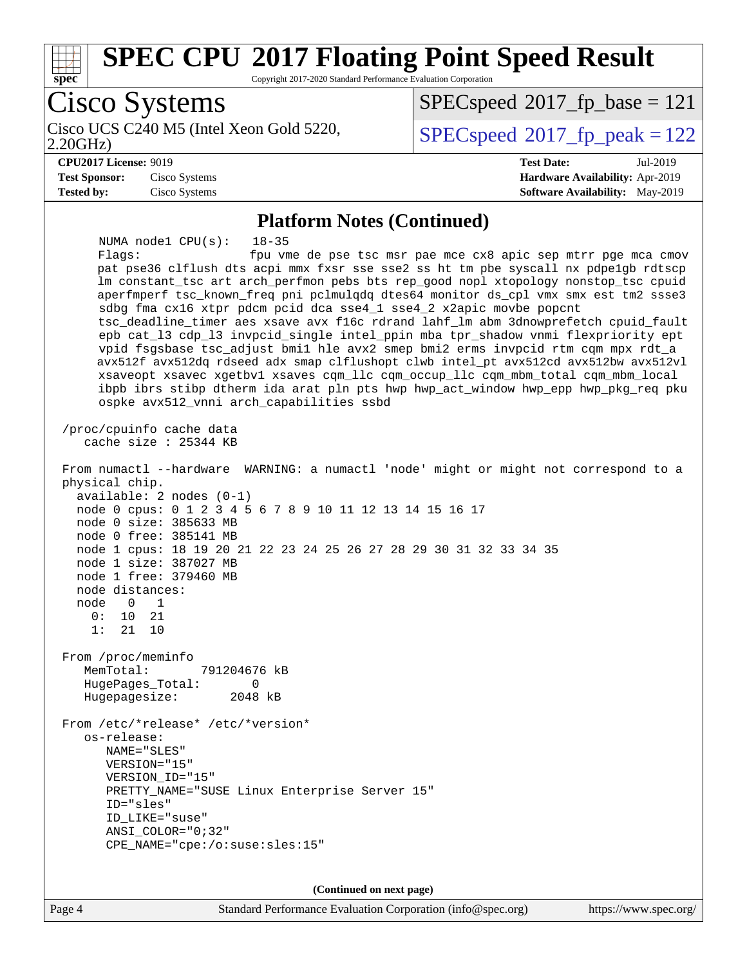

**(Continued on next page)**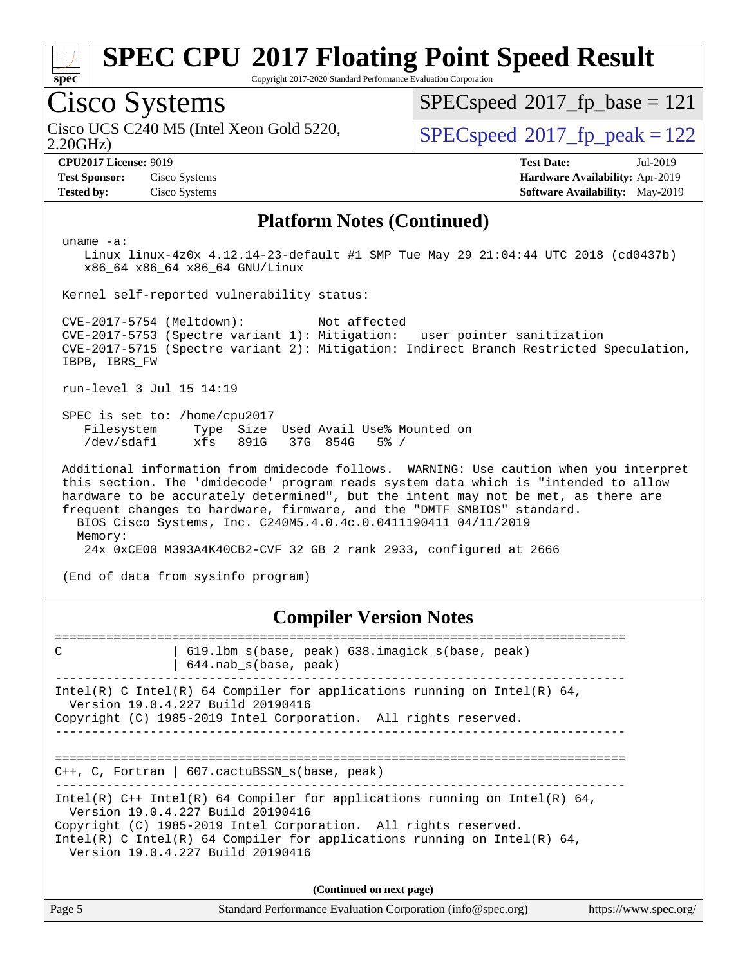

Copyright 2017-2020 Standard Performance Evaluation Corporation

## Cisco Systems

2.20GHz) Cisco UCS C240 M5 (Intel Xeon Gold 5220,  $\vert$  [SPECspeed](http://www.spec.org/auto/cpu2017/Docs/result-fields.html#SPECspeed2017fppeak)®2017 fp\_peak = 122

[SPECspeed](http://www.spec.org/auto/cpu2017/Docs/result-fields.html#SPECspeed2017fpbase)<sup>®</sup>2017 fp base = 121

**[Test Sponsor:](http://www.spec.org/auto/cpu2017/Docs/result-fields.html#TestSponsor)** Cisco Systems **[Hardware Availability:](http://www.spec.org/auto/cpu2017/Docs/result-fields.html#HardwareAvailability)** Apr-2019

**[CPU2017 License:](http://www.spec.org/auto/cpu2017/Docs/result-fields.html#CPU2017License)** 9019 **[Test Date:](http://www.spec.org/auto/cpu2017/Docs/result-fields.html#TestDate)** Jul-2019 **[Tested by:](http://www.spec.org/auto/cpu2017/Docs/result-fields.html#Testedby)** Cisco Systems **[Software Availability:](http://www.spec.org/auto/cpu2017/Docs/result-fields.html#SoftwareAvailability)** May-2019

### **[Platform Notes \(Continued\)](http://www.spec.org/auto/cpu2017/Docs/result-fields.html#PlatformNotes)**

uname -a:

 Linux linux-4z0x 4.12.14-23-default #1 SMP Tue May 29 21:04:44 UTC 2018 (cd0437b) x86\_64 x86\_64 x86\_64 GNU/Linux

Kernel self-reported vulnerability status:

 CVE-2017-5754 (Meltdown): Not affected CVE-2017-5753 (Spectre variant 1): Mitigation: \_\_user pointer sanitization CVE-2017-5715 (Spectre variant 2): Mitigation: Indirect Branch Restricted Speculation, IBPB, IBRS\_FW

run-level 3 Jul 15 14:19

 SPEC is set to: /home/cpu2017 Filesystem Type Size Used Avail Use% Mounted on /dev/sdaf1 xfs 891G 37G 854G 5% /

 Additional information from dmidecode follows. WARNING: Use caution when you interpret this section. The 'dmidecode' program reads system data which is "intended to allow hardware to be accurately determined", but the intent may not be met, as there are frequent changes to hardware, firmware, and the "DMTF SMBIOS" standard. BIOS Cisco Systems, Inc. C240M5.4.0.4c.0.0411190411 04/11/2019 Memory: 24x 0xCE00 M393A4K40CB2-CVF 32 GB 2 rank 2933, configured at 2666

(End of data from sysinfo program)

### **[Compiler Version Notes](http://www.spec.org/auto/cpu2017/Docs/result-fields.html#CompilerVersionNotes)**

============================================================================== C | 619.lbm\_s(base, peak) 638.imagick\_s(base, peak) | 644.nab\_s(base, peak) ------------------------------------------------------------------------------ Intel(R) C Intel(R) 64 Compiler for applications running on Intel(R)  $64$ , Version 19.0.4.227 Build 20190416 Copyright (C) 1985-2019 Intel Corporation. All rights reserved. ------------------------------------------------------------------------------ ============================================================================== C++, C, Fortran | 607.cactuBSSN\_s(base, peak) ------------------------------------------------------------------------------ Intel(R) C++ Intel(R) 64 Compiler for applications running on Intel(R)  $64$ , Version 19.0.4.227 Build 20190416 Copyright (C) 1985-2019 Intel Corporation. All rights reserved. Intel(R) C Intel(R) 64 Compiler for applications running on Intel(R)  $64$ , Version 19.0.4.227 Build 20190416 **(Continued on next page)**

| Page 5 | Standard Performance Evaluation Corporation (info@spec.org) | https://www.spec.org/ |
|--------|-------------------------------------------------------------|-----------------------|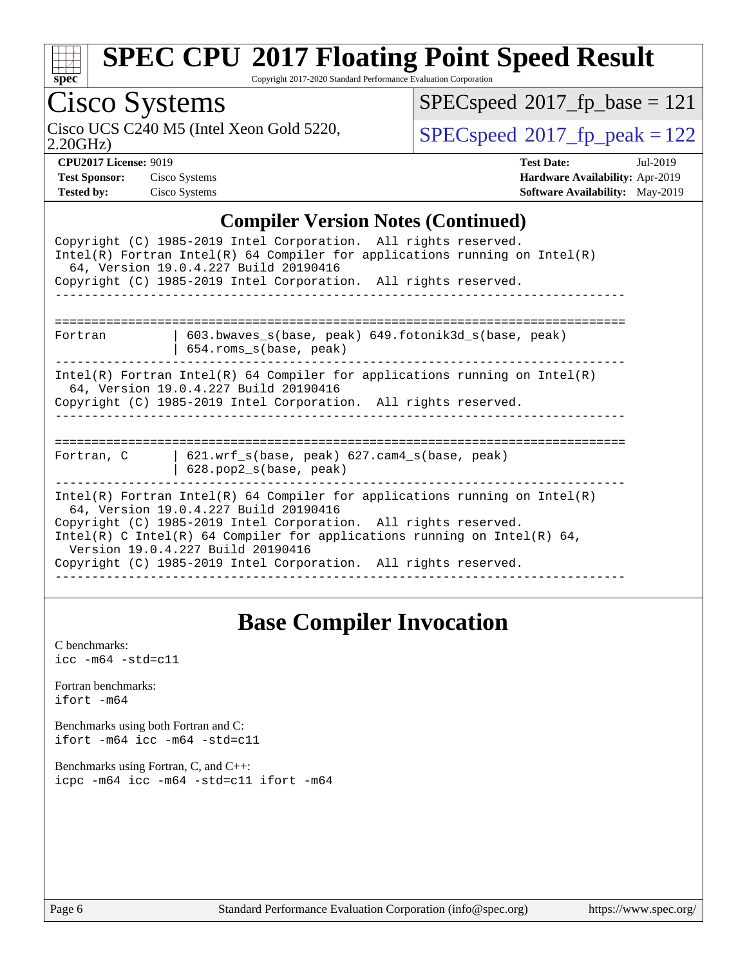

Copyright 2017-2020 Standard Performance Evaluation Corporation

## Cisco Systems

2.20GHz)

 $SPECspeed^{\circledast}2017_fp\_base = 121$  $SPECspeed^{\circledast}2017_fp\_base = 121$ 

Cisco UCS C240 M5 (Intel Xeon Gold 5220,  $SPECspeed^{\circ}2017\_fp\_peak = 122$  $SPECspeed^{\circ}2017\_fp\_peak = 122$ 

**[CPU2017 License:](http://www.spec.org/auto/cpu2017/Docs/result-fields.html#CPU2017License)** 9019 **[Test Date:](http://www.spec.org/auto/cpu2017/Docs/result-fields.html#TestDate)** Jul-2019 **[Test Sponsor:](http://www.spec.org/auto/cpu2017/Docs/result-fields.html#TestSponsor)** Cisco Systems **[Hardware Availability:](http://www.spec.org/auto/cpu2017/Docs/result-fields.html#HardwareAvailability)** Apr-2019 **[Tested by:](http://www.spec.org/auto/cpu2017/Docs/result-fields.html#Testedby)** Cisco Systems **[Software Availability:](http://www.spec.org/auto/cpu2017/Docs/result-fields.html#SoftwareAvailability)** May-2019

### **[Compiler Version Notes \(Continued\)](http://www.spec.org/auto/cpu2017/Docs/result-fields.html#CompilerVersionNotes)**

| $\mathbf{C}$ completed that $\mathbf{C}$ and $\mathbf{C}$ and $\mathbf{C}$ and $\mathbf{C}$ and $\mathbf{C}$                                                                                                                                                                                                                                                                 |  |  |  |  |  |
|------------------------------------------------------------------------------------------------------------------------------------------------------------------------------------------------------------------------------------------------------------------------------------------------------------------------------------------------------------------------------|--|--|--|--|--|
| Copyright (C) 1985-2019 Intel Corporation. All rights reserved.<br>$Intel(R)$ Fortran Intel(R) 64 Compiler for applications running on Intel(R)<br>64, Version 19.0.4.227 Build 20190416                                                                                                                                                                                     |  |  |  |  |  |
| Copyright (C) 1985-2019 Intel Corporation. All rights reserved.                                                                                                                                                                                                                                                                                                              |  |  |  |  |  |
| 603.bwaves_s(base, peak) 649.fotonik3d_s(base, peak)<br>Fortran<br>$654$ .roms $s(base, peak)$                                                                                                                                                                                                                                                                               |  |  |  |  |  |
| $Intel(R)$ Fortran Intel(R) 64 Compiler for applications running on Intel(R)<br>64, Version 19.0.4.227 Build 20190416<br>Copyright (C) 1985-2019 Intel Corporation. All rights reserved.<br>-----------------------------------                                                                                                                                              |  |  |  |  |  |
| 621.wrf_s(base, peak) 627.cam4_s(base, peak)<br>Fortran, C<br>$628. pop2_s(base, peak)$                                                                                                                                                                                                                                                                                      |  |  |  |  |  |
| $Intel(R)$ Fortran Intel(R) 64 Compiler for applications running on Intel(R)<br>64, Version 19.0.4.227 Build 20190416<br>Copyright (C) 1985-2019 Intel Corporation. All rights reserved.<br>Intel(R) C Intel(R) 64 Compiler for applications running on Intel(R) 64,<br>Version 19.0.4.227 Build 20190416<br>Copyright (C) 1985-2019 Intel Corporation. All rights reserved. |  |  |  |  |  |

### **[Base Compiler Invocation](http://www.spec.org/auto/cpu2017/Docs/result-fields.html#BaseCompilerInvocation)**

| C benchmarks:<br>$\text{icc -m64 -std=c11}$                                           |
|---------------------------------------------------------------------------------------|
| Fortran benchmarks:<br>ifort -m64                                                     |
| Benchmarks using both Fortran and C:<br>ifort $-m64$ icc $-m64$ $-std= c11$           |
| Benchmarks using Fortran, C, and $C_{++}$ :<br>icpc -m64 icc -m64 -std=c11 ifort -m64 |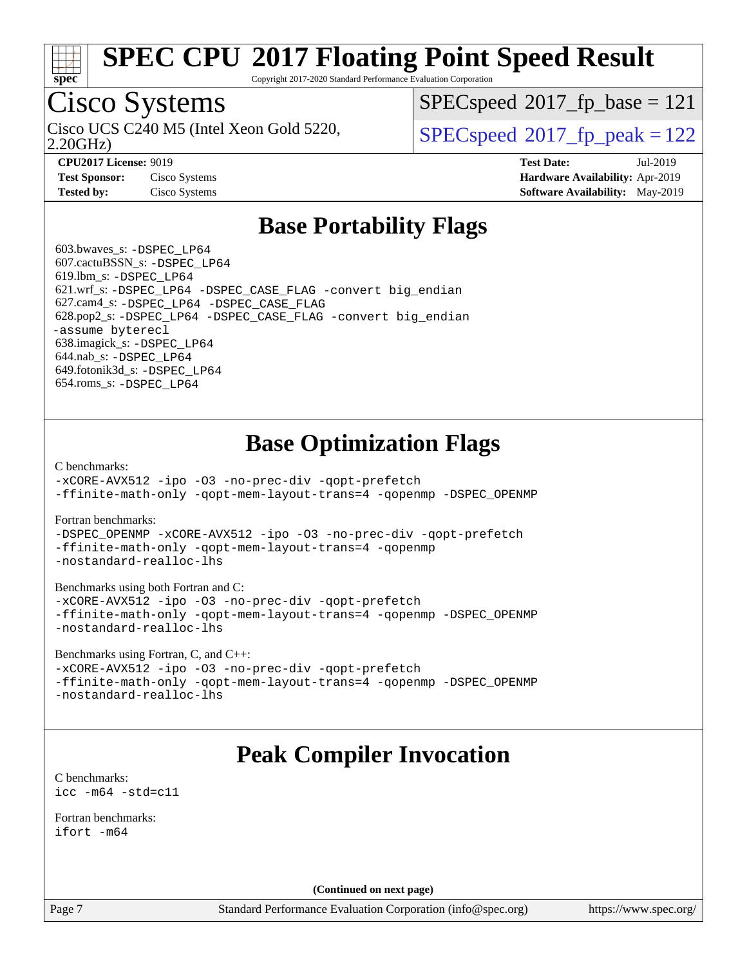

Copyright 2017-2020 Standard Performance Evaluation Corporation

# Cisco Systems

2.20GHz) Cisco UCS C240 M5 (Intel Xeon Gold 5220,  $\vert$  [SPECspeed](http://www.spec.org/auto/cpu2017/Docs/result-fields.html#SPECspeed2017fppeak)®2017 fp\_peak = 122

[SPECspeed](http://www.spec.org/auto/cpu2017/Docs/result-fields.html#SPECspeed2017fpbase)<sup>®</sup>2017 fp base = 121

**[Test Sponsor:](http://www.spec.org/auto/cpu2017/Docs/result-fields.html#TestSponsor)** Cisco Systems **[Hardware Availability:](http://www.spec.org/auto/cpu2017/Docs/result-fields.html#HardwareAvailability)** Apr-2019 **[Tested by:](http://www.spec.org/auto/cpu2017/Docs/result-fields.html#Testedby)** Cisco Systems **[Software Availability:](http://www.spec.org/auto/cpu2017/Docs/result-fields.html#SoftwareAvailability)** May-2019

**[CPU2017 License:](http://www.spec.org/auto/cpu2017/Docs/result-fields.html#CPU2017License)** 9019 **[Test Date:](http://www.spec.org/auto/cpu2017/Docs/result-fields.html#TestDate)** Jul-2019

## **[Base Portability Flags](http://www.spec.org/auto/cpu2017/Docs/result-fields.html#BasePortabilityFlags)**

 603.bwaves\_s: [-DSPEC\\_LP64](http://www.spec.org/cpu2017/results/res2019q3/cpu2017-20190806-16733.flags.html#suite_basePORTABILITY603_bwaves_s_DSPEC_LP64) 607.cactuBSSN\_s: [-DSPEC\\_LP64](http://www.spec.org/cpu2017/results/res2019q3/cpu2017-20190806-16733.flags.html#suite_basePORTABILITY607_cactuBSSN_s_DSPEC_LP64) 619.lbm\_s: [-DSPEC\\_LP64](http://www.spec.org/cpu2017/results/res2019q3/cpu2017-20190806-16733.flags.html#suite_basePORTABILITY619_lbm_s_DSPEC_LP64) 621.wrf\_s: [-DSPEC\\_LP64](http://www.spec.org/cpu2017/results/res2019q3/cpu2017-20190806-16733.flags.html#suite_basePORTABILITY621_wrf_s_DSPEC_LP64) [-DSPEC\\_CASE\\_FLAG](http://www.spec.org/cpu2017/results/res2019q3/cpu2017-20190806-16733.flags.html#b621.wrf_s_baseCPORTABILITY_DSPEC_CASE_FLAG) [-convert big\\_endian](http://www.spec.org/cpu2017/results/res2019q3/cpu2017-20190806-16733.flags.html#user_baseFPORTABILITY621_wrf_s_convert_big_endian_c3194028bc08c63ac5d04de18c48ce6d347e4e562e8892b8bdbdc0214820426deb8554edfa529a3fb25a586e65a3d812c835984020483e7e73212c4d31a38223) 627.cam4\_s: [-DSPEC\\_LP64](http://www.spec.org/cpu2017/results/res2019q3/cpu2017-20190806-16733.flags.html#suite_basePORTABILITY627_cam4_s_DSPEC_LP64) [-DSPEC\\_CASE\\_FLAG](http://www.spec.org/cpu2017/results/res2019q3/cpu2017-20190806-16733.flags.html#b627.cam4_s_baseCPORTABILITY_DSPEC_CASE_FLAG) 628.pop2\_s: [-DSPEC\\_LP64](http://www.spec.org/cpu2017/results/res2019q3/cpu2017-20190806-16733.flags.html#suite_basePORTABILITY628_pop2_s_DSPEC_LP64) [-DSPEC\\_CASE\\_FLAG](http://www.spec.org/cpu2017/results/res2019q3/cpu2017-20190806-16733.flags.html#b628.pop2_s_baseCPORTABILITY_DSPEC_CASE_FLAG) [-convert big\\_endian](http://www.spec.org/cpu2017/results/res2019q3/cpu2017-20190806-16733.flags.html#user_baseFPORTABILITY628_pop2_s_convert_big_endian_c3194028bc08c63ac5d04de18c48ce6d347e4e562e8892b8bdbdc0214820426deb8554edfa529a3fb25a586e65a3d812c835984020483e7e73212c4d31a38223) [-assume byterecl](http://www.spec.org/cpu2017/results/res2019q3/cpu2017-20190806-16733.flags.html#user_baseFPORTABILITY628_pop2_s_assume_byterecl_7e47d18b9513cf18525430bbf0f2177aa9bf368bc7a059c09b2c06a34b53bd3447c950d3f8d6c70e3faf3a05c8557d66a5798b567902e8849adc142926523472) 638.imagick\_s: [-DSPEC\\_LP64](http://www.spec.org/cpu2017/results/res2019q3/cpu2017-20190806-16733.flags.html#suite_basePORTABILITY638_imagick_s_DSPEC_LP64) 644.nab\_s: [-DSPEC\\_LP64](http://www.spec.org/cpu2017/results/res2019q3/cpu2017-20190806-16733.flags.html#suite_basePORTABILITY644_nab_s_DSPEC_LP64) 649.fotonik3d\_s: [-DSPEC\\_LP64](http://www.spec.org/cpu2017/results/res2019q3/cpu2017-20190806-16733.flags.html#suite_basePORTABILITY649_fotonik3d_s_DSPEC_LP64) 654.roms\_s: [-DSPEC\\_LP64](http://www.spec.org/cpu2017/results/res2019q3/cpu2017-20190806-16733.flags.html#suite_basePORTABILITY654_roms_s_DSPEC_LP64)

## **[Base Optimization Flags](http://www.spec.org/auto/cpu2017/Docs/result-fields.html#BaseOptimizationFlags)**

[C benchmarks](http://www.spec.org/auto/cpu2017/Docs/result-fields.html#Cbenchmarks):

[-xCORE-AVX512](http://www.spec.org/cpu2017/results/res2019q3/cpu2017-20190806-16733.flags.html#user_CCbase_f-xCORE-AVX512) [-ipo](http://www.spec.org/cpu2017/results/res2019q3/cpu2017-20190806-16733.flags.html#user_CCbase_f-ipo) [-O3](http://www.spec.org/cpu2017/results/res2019q3/cpu2017-20190806-16733.flags.html#user_CCbase_f-O3) [-no-prec-div](http://www.spec.org/cpu2017/results/res2019q3/cpu2017-20190806-16733.flags.html#user_CCbase_f-no-prec-div) [-qopt-prefetch](http://www.spec.org/cpu2017/results/res2019q3/cpu2017-20190806-16733.flags.html#user_CCbase_f-qopt-prefetch) [-ffinite-math-only](http://www.spec.org/cpu2017/results/res2019q3/cpu2017-20190806-16733.flags.html#user_CCbase_f_finite_math_only_cb91587bd2077682c4b38af759c288ed7c732db004271a9512da14a4f8007909a5f1427ecbf1a0fb78ff2a814402c6114ac565ca162485bbcae155b5e4258871) [-qopt-mem-layout-trans=4](http://www.spec.org/cpu2017/results/res2019q3/cpu2017-20190806-16733.flags.html#user_CCbase_f-qopt-mem-layout-trans_fa39e755916c150a61361b7846f310bcdf6f04e385ef281cadf3647acec3f0ae266d1a1d22d972a7087a248fd4e6ca390a3634700869573d231a252c784941a8) [-qopenmp](http://www.spec.org/cpu2017/results/res2019q3/cpu2017-20190806-16733.flags.html#user_CCbase_qopenmp_16be0c44f24f464004c6784a7acb94aca937f053568ce72f94b139a11c7c168634a55f6653758ddd83bcf7b8463e8028bb0b48b77bcddc6b78d5d95bb1df2967) [-DSPEC\\_OPENMP](http://www.spec.org/cpu2017/results/res2019q3/cpu2017-20190806-16733.flags.html#suite_CCbase_DSPEC_OPENMP)

[Fortran benchmarks](http://www.spec.org/auto/cpu2017/Docs/result-fields.html#Fortranbenchmarks):

[-DSPEC\\_OPENMP](http://www.spec.org/cpu2017/results/res2019q3/cpu2017-20190806-16733.flags.html#suite_FCbase_DSPEC_OPENMP) [-xCORE-AVX512](http://www.spec.org/cpu2017/results/res2019q3/cpu2017-20190806-16733.flags.html#user_FCbase_f-xCORE-AVX512) [-ipo](http://www.spec.org/cpu2017/results/res2019q3/cpu2017-20190806-16733.flags.html#user_FCbase_f-ipo) [-O3](http://www.spec.org/cpu2017/results/res2019q3/cpu2017-20190806-16733.flags.html#user_FCbase_f-O3) [-no-prec-div](http://www.spec.org/cpu2017/results/res2019q3/cpu2017-20190806-16733.flags.html#user_FCbase_f-no-prec-div) [-qopt-prefetch](http://www.spec.org/cpu2017/results/res2019q3/cpu2017-20190806-16733.flags.html#user_FCbase_f-qopt-prefetch) [-ffinite-math-only](http://www.spec.org/cpu2017/results/res2019q3/cpu2017-20190806-16733.flags.html#user_FCbase_f_finite_math_only_cb91587bd2077682c4b38af759c288ed7c732db004271a9512da14a4f8007909a5f1427ecbf1a0fb78ff2a814402c6114ac565ca162485bbcae155b5e4258871) [-qopt-mem-layout-trans=4](http://www.spec.org/cpu2017/results/res2019q3/cpu2017-20190806-16733.flags.html#user_FCbase_f-qopt-mem-layout-trans_fa39e755916c150a61361b7846f310bcdf6f04e385ef281cadf3647acec3f0ae266d1a1d22d972a7087a248fd4e6ca390a3634700869573d231a252c784941a8) [-qopenmp](http://www.spec.org/cpu2017/results/res2019q3/cpu2017-20190806-16733.flags.html#user_FCbase_qopenmp_16be0c44f24f464004c6784a7acb94aca937f053568ce72f94b139a11c7c168634a55f6653758ddd83bcf7b8463e8028bb0b48b77bcddc6b78d5d95bb1df2967) [-nostandard-realloc-lhs](http://www.spec.org/cpu2017/results/res2019q3/cpu2017-20190806-16733.flags.html#user_FCbase_f_2003_std_realloc_82b4557e90729c0f113870c07e44d33d6f5a304b4f63d4c15d2d0f1fab99f5daaed73bdb9275d9ae411527f28b936061aa8b9c8f2d63842963b95c9dd6426b8a)

[Benchmarks using both Fortran and C](http://www.spec.org/auto/cpu2017/Docs/result-fields.html#BenchmarksusingbothFortranandC):

[-xCORE-AVX512](http://www.spec.org/cpu2017/results/res2019q3/cpu2017-20190806-16733.flags.html#user_CC_FCbase_f-xCORE-AVX512) [-ipo](http://www.spec.org/cpu2017/results/res2019q3/cpu2017-20190806-16733.flags.html#user_CC_FCbase_f-ipo) [-O3](http://www.spec.org/cpu2017/results/res2019q3/cpu2017-20190806-16733.flags.html#user_CC_FCbase_f-O3) [-no-prec-div](http://www.spec.org/cpu2017/results/res2019q3/cpu2017-20190806-16733.flags.html#user_CC_FCbase_f-no-prec-div) [-qopt-prefetch](http://www.spec.org/cpu2017/results/res2019q3/cpu2017-20190806-16733.flags.html#user_CC_FCbase_f-qopt-prefetch) [-ffinite-math-only](http://www.spec.org/cpu2017/results/res2019q3/cpu2017-20190806-16733.flags.html#user_CC_FCbase_f_finite_math_only_cb91587bd2077682c4b38af759c288ed7c732db004271a9512da14a4f8007909a5f1427ecbf1a0fb78ff2a814402c6114ac565ca162485bbcae155b5e4258871) [-qopt-mem-layout-trans=4](http://www.spec.org/cpu2017/results/res2019q3/cpu2017-20190806-16733.flags.html#user_CC_FCbase_f-qopt-mem-layout-trans_fa39e755916c150a61361b7846f310bcdf6f04e385ef281cadf3647acec3f0ae266d1a1d22d972a7087a248fd4e6ca390a3634700869573d231a252c784941a8) [-qopenmp](http://www.spec.org/cpu2017/results/res2019q3/cpu2017-20190806-16733.flags.html#user_CC_FCbase_qopenmp_16be0c44f24f464004c6784a7acb94aca937f053568ce72f94b139a11c7c168634a55f6653758ddd83bcf7b8463e8028bb0b48b77bcddc6b78d5d95bb1df2967) [-DSPEC\\_OPENMP](http://www.spec.org/cpu2017/results/res2019q3/cpu2017-20190806-16733.flags.html#suite_CC_FCbase_DSPEC_OPENMP) [-nostandard-realloc-lhs](http://www.spec.org/cpu2017/results/res2019q3/cpu2017-20190806-16733.flags.html#user_CC_FCbase_f_2003_std_realloc_82b4557e90729c0f113870c07e44d33d6f5a304b4f63d4c15d2d0f1fab99f5daaed73bdb9275d9ae411527f28b936061aa8b9c8f2d63842963b95c9dd6426b8a)

[Benchmarks using Fortran, C, and C++:](http://www.spec.org/auto/cpu2017/Docs/result-fields.html#BenchmarksusingFortranCandCXX)

[-xCORE-AVX512](http://www.spec.org/cpu2017/results/res2019q3/cpu2017-20190806-16733.flags.html#user_CC_CXX_FCbase_f-xCORE-AVX512) [-ipo](http://www.spec.org/cpu2017/results/res2019q3/cpu2017-20190806-16733.flags.html#user_CC_CXX_FCbase_f-ipo) [-O3](http://www.spec.org/cpu2017/results/res2019q3/cpu2017-20190806-16733.flags.html#user_CC_CXX_FCbase_f-O3) [-no-prec-div](http://www.spec.org/cpu2017/results/res2019q3/cpu2017-20190806-16733.flags.html#user_CC_CXX_FCbase_f-no-prec-div) [-qopt-prefetch](http://www.spec.org/cpu2017/results/res2019q3/cpu2017-20190806-16733.flags.html#user_CC_CXX_FCbase_f-qopt-prefetch) [-ffinite-math-only](http://www.spec.org/cpu2017/results/res2019q3/cpu2017-20190806-16733.flags.html#user_CC_CXX_FCbase_f_finite_math_only_cb91587bd2077682c4b38af759c288ed7c732db004271a9512da14a4f8007909a5f1427ecbf1a0fb78ff2a814402c6114ac565ca162485bbcae155b5e4258871) [-qopt-mem-layout-trans=4](http://www.spec.org/cpu2017/results/res2019q3/cpu2017-20190806-16733.flags.html#user_CC_CXX_FCbase_f-qopt-mem-layout-trans_fa39e755916c150a61361b7846f310bcdf6f04e385ef281cadf3647acec3f0ae266d1a1d22d972a7087a248fd4e6ca390a3634700869573d231a252c784941a8) [-qopenmp](http://www.spec.org/cpu2017/results/res2019q3/cpu2017-20190806-16733.flags.html#user_CC_CXX_FCbase_qopenmp_16be0c44f24f464004c6784a7acb94aca937f053568ce72f94b139a11c7c168634a55f6653758ddd83bcf7b8463e8028bb0b48b77bcddc6b78d5d95bb1df2967) [-DSPEC\\_OPENMP](http://www.spec.org/cpu2017/results/res2019q3/cpu2017-20190806-16733.flags.html#suite_CC_CXX_FCbase_DSPEC_OPENMP) [-nostandard-realloc-lhs](http://www.spec.org/cpu2017/results/res2019q3/cpu2017-20190806-16733.flags.html#user_CC_CXX_FCbase_f_2003_std_realloc_82b4557e90729c0f113870c07e44d33d6f5a304b4f63d4c15d2d0f1fab99f5daaed73bdb9275d9ae411527f28b936061aa8b9c8f2d63842963b95c9dd6426b8a)

## **[Peak Compiler Invocation](http://www.spec.org/auto/cpu2017/Docs/result-fields.html#PeakCompilerInvocation)**

[C benchmarks](http://www.spec.org/auto/cpu2017/Docs/result-fields.html#Cbenchmarks): [icc -m64 -std=c11](http://www.spec.org/cpu2017/results/res2019q3/cpu2017-20190806-16733.flags.html#user_CCpeak_intel_icc_64bit_c11_33ee0cdaae7deeeab2a9725423ba97205ce30f63b9926c2519791662299b76a0318f32ddfffdc46587804de3178b4f9328c46fa7c2b0cd779d7a61945c91cd35)

[Fortran benchmarks](http://www.spec.org/auto/cpu2017/Docs/result-fields.html#Fortranbenchmarks): [ifort -m64](http://www.spec.org/cpu2017/results/res2019q3/cpu2017-20190806-16733.flags.html#user_FCpeak_intel_ifort_64bit_24f2bb282fbaeffd6157abe4f878425411749daecae9a33200eee2bee2fe76f3b89351d69a8130dd5949958ce389cf37ff59a95e7a40d588e8d3a57e0c3fd751)

**(Continued on next page)**

Page 7 Standard Performance Evaluation Corporation [\(info@spec.org\)](mailto:info@spec.org) <https://www.spec.org/>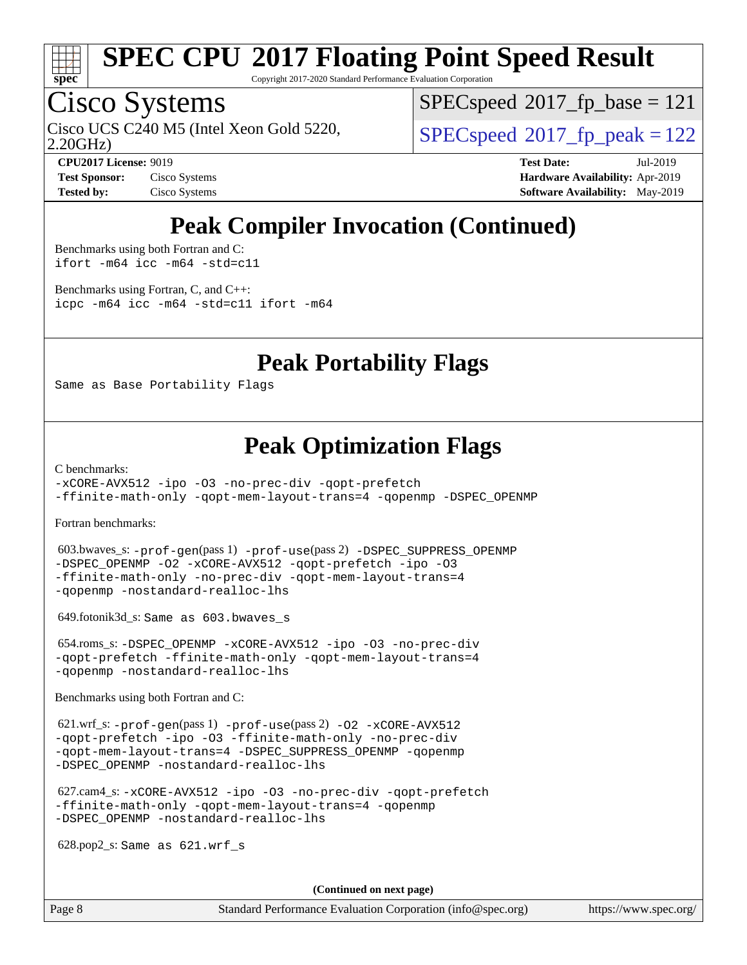

Copyright 2017-2020 Standard Performance Evaluation Corporation

# Cisco Systems

Cisco UCS C240 M5 (Intel Xeon Gold 5220,  $\vert$  [SPECspeed](http://www.spec.org/auto/cpu2017/Docs/result-fields.html#SPECspeed2017fppeak)®2017 fp\_peak = 122

[SPECspeed](http://www.spec.org/auto/cpu2017/Docs/result-fields.html#SPECspeed2017fpbase)<sup>®</sup>2017 fp base = 121

2.20GHz)

**[Test Sponsor:](http://www.spec.org/auto/cpu2017/Docs/result-fields.html#TestSponsor)** Cisco Systems **[Hardware Availability:](http://www.spec.org/auto/cpu2017/Docs/result-fields.html#HardwareAvailability)** Apr-2019

**[CPU2017 License:](http://www.spec.org/auto/cpu2017/Docs/result-fields.html#CPU2017License)** 9019 **[Test Date:](http://www.spec.org/auto/cpu2017/Docs/result-fields.html#TestDate)** Jul-2019 **[Tested by:](http://www.spec.org/auto/cpu2017/Docs/result-fields.html#Testedby)** Cisco Systems **[Software Availability:](http://www.spec.org/auto/cpu2017/Docs/result-fields.html#SoftwareAvailability)** May-2019

## **[Peak Compiler Invocation \(Continued\)](http://www.spec.org/auto/cpu2017/Docs/result-fields.html#PeakCompilerInvocation)**

[Benchmarks using both Fortran and C](http://www.spec.org/auto/cpu2017/Docs/result-fields.html#BenchmarksusingbothFortranandC): [ifort -m64](http://www.spec.org/cpu2017/results/res2019q3/cpu2017-20190806-16733.flags.html#user_CC_FCpeak_intel_ifort_64bit_24f2bb282fbaeffd6157abe4f878425411749daecae9a33200eee2bee2fe76f3b89351d69a8130dd5949958ce389cf37ff59a95e7a40d588e8d3a57e0c3fd751) [icc -m64 -std=c11](http://www.spec.org/cpu2017/results/res2019q3/cpu2017-20190806-16733.flags.html#user_CC_FCpeak_intel_icc_64bit_c11_33ee0cdaae7deeeab2a9725423ba97205ce30f63b9926c2519791662299b76a0318f32ddfffdc46587804de3178b4f9328c46fa7c2b0cd779d7a61945c91cd35)

[Benchmarks using Fortran, C, and C++:](http://www.spec.org/auto/cpu2017/Docs/result-fields.html#BenchmarksusingFortranCandCXX) [icpc -m64](http://www.spec.org/cpu2017/results/res2019q3/cpu2017-20190806-16733.flags.html#user_CC_CXX_FCpeak_intel_icpc_64bit_4ecb2543ae3f1412ef961e0650ca070fec7b7afdcd6ed48761b84423119d1bf6bdf5cad15b44d48e7256388bc77273b966e5eb805aefd121eb22e9299b2ec9d9) [icc -m64 -std=c11](http://www.spec.org/cpu2017/results/res2019q3/cpu2017-20190806-16733.flags.html#user_CC_CXX_FCpeak_intel_icc_64bit_c11_33ee0cdaae7deeeab2a9725423ba97205ce30f63b9926c2519791662299b76a0318f32ddfffdc46587804de3178b4f9328c46fa7c2b0cd779d7a61945c91cd35) [ifort -m64](http://www.spec.org/cpu2017/results/res2019q3/cpu2017-20190806-16733.flags.html#user_CC_CXX_FCpeak_intel_ifort_64bit_24f2bb282fbaeffd6157abe4f878425411749daecae9a33200eee2bee2fe76f3b89351d69a8130dd5949958ce389cf37ff59a95e7a40d588e8d3a57e0c3fd751)

### **[Peak Portability Flags](http://www.spec.org/auto/cpu2017/Docs/result-fields.html#PeakPortabilityFlags)**

Same as Base Portability Flags

## **[Peak Optimization Flags](http://www.spec.org/auto/cpu2017/Docs/result-fields.html#PeakOptimizationFlags)**

[C benchmarks](http://www.spec.org/auto/cpu2017/Docs/result-fields.html#Cbenchmarks):

[-xCORE-AVX512](http://www.spec.org/cpu2017/results/res2019q3/cpu2017-20190806-16733.flags.html#user_CCpeak_f-xCORE-AVX512) [-ipo](http://www.spec.org/cpu2017/results/res2019q3/cpu2017-20190806-16733.flags.html#user_CCpeak_f-ipo) [-O3](http://www.spec.org/cpu2017/results/res2019q3/cpu2017-20190806-16733.flags.html#user_CCpeak_f-O3) [-no-prec-div](http://www.spec.org/cpu2017/results/res2019q3/cpu2017-20190806-16733.flags.html#user_CCpeak_f-no-prec-div) [-qopt-prefetch](http://www.spec.org/cpu2017/results/res2019q3/cpu2017-20190806-16733.flags.html#user_CCpeak_f-qopt-prefetch) [-ffinite-math-only](http://www.spec.org/cpu2017/results/res2019q3/cpu2017-20190806-16733.flags.html#user_CCpeak_f_finite_math_only_cb91587bd2077682c4b38af759c288ed7c732db004271a9512da14a4f8007909a5f1427ecbf1a0fb78ff2a814402c6114ac565ca162485bbcae155b5e4258871) [-qopt-mem-layout-trans=4](http://www.spec.org/cpu2017/results/res2019q3/cpu2017-20190806-16733.flags.html#user_CCpeak_f-qopt-mem-layout-trans_fa39e755916c150a61361b7846f310bcdf6f04e385ef281cadf3647acec3f0ae266d1a1d22d972a7087a248fd4e6ca390a3634700869573d231a252c784941a8) [-qopenmp](http://www.spec.org/cpu2017/results/res2019q3/cpu2017-20190806-16733.flags.html#user_CCpeak_qopenmp_16be0c44f24f464004c6784a7acb94aca937f053568ce72f94b139a11c7c168634a55f6653758ddd83bcf7b8463e8028bb0b48b77bcddc6b78d5d95bb1df2967) [-DSPEC\\_OPENMP](http://www.spec.org/cpu2017/results/res2019q3/cpu2017-20190806-16733.flags.html#suite_CCpeak_DSPEC_OPENMP)

[Fortran benchmarks](http://www.spec.org/auto/cpu2017/Docs/result-fields.html#Fortranbenchmarks):

 603.bwaves\_s: [-prof-gen](http://www.spec.org/cpu2017/results/res2019q3/cpu2017-20190806-16733.flags.html#user_peakPASS1_FFLAGSPASS1_LDFLAGS603_bwaves_s_prof_gen_5aa4926d6013ddb2a31985c654b3eb18169fc0c6952a63635c234f711e6e63dd76e94ad52365559451ec499a2cdb89e4dc58ba4c67ef54ca681ffbe1461d6b36)(pass 1) [-prof-use](http://www.spec.org/cpu2017/results/res2019q3/cpu2017-20190806-16733.flags.html#user_peakPASS2_FFLAGSPASS2_LDFLAGS603_bwaves_s_prof_use_1a21ceae95f36a2b53c25747139a6c16ca95bd9def2a207b4f0849963b97e94f5260e30a0c64f4bb623698870e679ca08317ef8150905d41bd88c6f78df73f19)(pass 2) [-DSPEC\\_SUPPRESS\\_OPENMP](http://www.spec.org/cpu2017/results/res2019q3/cpu2017-20190806-16733.flags.html#suite_peakPASS1_FOPTIMIZE603_bwaves_s_DSPEC_SUPPRESS_OPENMP) [-DSPEC\\_OPENMP](http://www.spec.org/cpu2017/results/res2019q3/cpu2017-20190806-16733.flags.html#suite_peakPASS2_FOPTIMIZE603_bwaves_s_DSPEC_OPENMP) [-O2](http://www.spec.org/cpu2017/results/res2019q3/cpu2017-20190806-16733.flags.html#user_peakPASS1_FOPTIMIZE603_bwaves_s_f-O2) [-xCORE-AVX512](http://www.spec.org/cpu2017/results/res2019q3/cpu2017-20190806-16733.flags.html#user_peakPASS2_FOPTIMIZE603_bwaves_s_f-xCORE-AVX512) [-qopt-prefetch](http://www.spec.org/cpu2017/results/res2019q3/cpu2017-20190806-16733.flags.html#user_peakPASS1_FOPTIMIZEPASS2_FOPTIMIZE603_bwaves_s_f-qopt-prefetch) [-ipo](http://www.spec.org/cpu2017/results/res2019q3/cpu2017-20190806-16733.flags.html#user_peakPASS2_FOPTIMIZE603_bwaves_s_f-ipo) [-O3](http://www.spec.org/cpu2017/results/res2019q3/cpu2017-20190806-16733.flags.html#user_peakPASS2_FOPTIMIZE603_bwaves_s_f-O3) [-ffinite-math-only](http://www.spec.org/cpu2017/results/res2019q3/cpu2017-20190806-16733.flags.html#user_peakPASS1_FOPTIMIZEPASS2_FOPTIMIZE603_bwaves_s_f_finite_math_only_cb91587bd2077682c4b38af759c288ed7c732db004271a9512da14a4f8007909a5f1427ecbf1a0fb78ff2a814402c6114ac565ca162485bbcae155b5e4258871) [-no-prec-div](http://www.spec.org/cpu2017/results/res2019q3/cpu2017-20190806-16733.flags.html#user_peakPASS2_FOPTIMIZE603_bwaves_s_f-no-prec-div) [-qopt-mem-layout-trans=4](http://www.spec.org/cpu2017/results/res2019q3/cpu2017-20190806-16733.flags.html#user_peakPASS1_FOPTIMIZEPASS2_FOPTIMIZE603_bwaves_s_f-qopt-mem-layout-trans_fa39e755916c150a61361b7846f310bcdf6f04e385ef281cadf3647acec3f0ae266d1a1d22d972a7087a248fd4e6ca390a3634700869573d231a252c784941a8) [-qopenmp](http://www.spec.org/cpu2017/results/res2019q3/cpu2017-20190806-16733.flags.html#user_peakPASS2_FOPTIMIZE603_bwaves_s_qopenmp_16be0c44f24f464004c6784a7acb94aca937f053568ce72f94b139a11c7c168634a55f6653758ddd83bcf7b8463e8028bb0b48b77bcddc6b78d5d95bb1df2967) [-nostandard-realloc-lhs](http://www.spec.org/cpu2017/results/res2019q3/cpu2017-20190806-16733.flags.html#user_peakEXTRA_FOPTIMIZE603_bwaves_s_f_2003_std_realloc_82b4557e90729c0f113870c07e44d33d6f5a304b4f63d4c15d2d0f1fab99f5daaed73bdb9275d9ae411527f28b936061aa8b9c8f2d63842963b95c9dd6426b8a)

649.fotonik3d\_s: Same as 603.bwaves\_s

 654.roms\_s: [-DSPEC\\_OPENMP](http://www.spec.org/cpu2017/results/res2019q3/cpu2017-20190806-16733.flags.html#suite_peakFOPTIMIZE654_roms_s_DSPEC_OPENMP) [-xCORE-AVX512](http://www.spec.org/cpu2017/results/res2019q3/cpu2017-20190806-16733.flags.html#user_peakFOPTIMIZE654_roms_s_f-xCORE-AVX512) [-ipo](http://www.spec.org/cpu2017/results/res2019q3/cpu2017-20190806-16733.flags.html#user_peakFOPTIMIZE654_roms_s_f-ipo) [-O3](http://www.spec.org/cpu2017/results/res2019q3/cpu2017-20190806-16733.flags.html#user_peakFOPTIMIZE654_roms_s_f-O3) [-no-prec-div](http://www.spec.org/cpu2017/results/res2019q3/cpu2017-20190806-16733.flags.html#user_peakFOPTIMIZE654_roms_s_f-no-prec-div) [-qopt-prefetch](http://www.spec.org/cpu2017/results/res2019q3/cpu2017-20190806-16733.flags.html#user_peakFOPTIMIZE654_roms_s_f-qopt-prefetch) [-ffinite-math-only](http://www.spec.org/cpu2017/results/res2019q3/cpu2017-20190806-16733.flags.html#user_peakFOPTIMIZE654_roms_s_f_finite_math_only_cb91587bd2077682c4b38af759c288ed7c732db004271a9512da14a4f8007909a5f1427ecbf1a0fb78ff2a814402c6114ac565ca162485bbcae155b5e4258871) [-qopt-mem-layout-trans=4](http://www.spec.org/cpu2017/results/res2019q3/cpu2017-20190806-16733.flags.html#user_peakFOPTIMIZE654_roms_s_f-qopt-mem-layout-trans_fa39e755916c150a61361b7846f310bcdf6f04e385ef281cadf3647acec3f0ae266d1a1d22d972a7087a248fd4e6ca390a3634700869573d231a252c784941a8) [-qopenmp](http://www.spec.org/cpu2017/results/res2019q3/cpu2017-20190806-16733.flags.html#user_peakFOPTIMIZE654_roms_s_qopenmp_16be0c44f24f464004c6784a7acb94aca937f053568ce72f94b139a11c7c168634a55f6653758ddd83bcf7b8463e8028bb0b48b77bcddc6b78d5d95bb1df2967) [-nostandard-realloc-lhs](http://www.spec.org/cpu2017/results/res2019q3/cpu2017-20190806-16733.flags.html#user_peakEXTRA_FOPTIMIZE654_roms_s_f_2003_std_realloc_82b4557e90729c0f113870c07e44d33d6f5a304b4f63d4c15d2d0f1fab99f5daaed73bdb9275d9ae411527f28b936061aa8b9c8f2d63842963b95c9dd6426b8a)

[Benchmarks using both Fortran and C](http://www.spec.org/auto/cpu2017/Docs/result-fields.html#BenchmarksusingbothFortranandC):

 621.wrf\_s: [-prof-gen](http://www.spec.org/cpu2017/results/res2019q3/cpu2017-20190806-16733.flags.html#user_peakPASS1_CFLAGSPASS1_FFLAGSPASS1_LDFLAGS621_wrf_s_prof_gen_5aa4926d6013ddb2a31985c654b3eb18169fc0c6952a63635c234f711e6e63dd76e94ad52365559451ec499a2cdb89e4dc58ba4c67ef54ca681ffbe1461d6b36)(pass 1) [-prof-use](http://www.spec.org/cpu2017/results/res2019q3/cpu2017-20190806-16733.flags.html#user_peakPASS2_CFLAGSPASS2_FFLAGSPASS2_LDFLAGS621_wrf_s_prof_use_1a21ceae95f36a2b53c25747139a6c16ca95bd9def2a207b4f0849963b97e94f5260e30a0c64f4bb623698870e679ca08317ef8150905d41bd88c6f78df73f19)(pass 2) [-O2](http://www.spec.org/cpu2017/results/res2019q3/cpu2017-20190806-16733.flags.html#user_peakPASS1_COPTIMIZEPASS1_FOPTIMIZE621_wrf_s_f-O2) [-xCORE-AVX512](http://www.spec.org/cpu2017/results/res2019q3/cpu2017-20190806-16733.flags.html#user_peakPASS2_COPTIMIZEPASS2_FOPTIMIZE621_wrf_s_f-xCORE-AVX512) [-qopt-prefetch](http://www.spec.org/cpu2017/results/res2019q3/cpu2017-20190806-16733.flags.html#user_peakPASS1_COPTIMIZEPASS1_FOPTIMIZEPASS2_COPTIMIZEPASS2_FOPTIMIZE621_wrf_s_f-qopt-prefetch) [-ipo](http://www.spec.org/cpu2017/results/res2019q3/cpu2017-20190806-16733.flags.html#user_peakPASS2_COPTIMIZEPASS2_FOPTIMIZE621_wrf_s_f-ipo) [-O3](http://www.spec.org/cpu2017/results/res2019q3/cpu2017-20190806-16733.flags.html#user_peakPASS2_COPTIMIZEPASS2_FOPTIMIZE621_wrf_s_f-O3) [-ffinite-math-only](http://www.spec.org/cpu2017/results/res2019q3/cpu2017-20190806-16733.flags.html#user_peakPASS1_COPTIMIZEPASS1_FOPTIMIZEPASS2_COPTIMIZEPASS2_FOPTIMIZE621_wrf_s_f_finite_math_only_cb91587bd2077682c4b38af759c288ed7c732db004271a9512da14a4f8007909a5f1427ecbf1a0fb78ff2a814402c6114ac565ca162485bbcae155b5e4258871) [-no-prec-div](http://www.spec.org/cpu2017/results/res2019q3/cpu2017-20190806-16733.flags.html#user_peakPASS2_COPTIMIZEPASS2_FOPTIMIZE621_wrf_s_f-no-prec-div) [-qopt-mem-layout-trans=4](http://www.spec.org/cpu2017/results/res2019q3/cpu2017-20190806-16733.flags.html#user_peakPASS1_COPTIMIZEPASS1_FOPTIMIZEPASS2_COPTIMIZEPASS2_FOPTIMIZE621_wrf_s_f-qopt-mem-layout-trans_fa39e755916c150a61361b7846f310bcdf6f04e385ef281cadf3647acec3f0ae266d1a1d22d972a7087a248fd4e6ca390a3634700869573d231a252c784941a8) [-DSPEC\\_SUPPRESS\\_OPENMP](http://www.spec.org/cpu2017/results/res2019q3/cpu2017-20190806-16733.flags.html#suite_peakPASS1_COPTIMIZEPASS1_FOPTIMIZE621_wrf_s_DSPEC_SUPPRESS_OPENMP) [-qopenmp](http://www.spec.org/cpu2017/results/res2019q3/cpu2017-20190806-16733.flags.html#user_peakPASS2_COPTIMIZEPASS2_FOPTIMIZE621_wrf_s_qopenmp_16be0c44f24f464004c6784a7acb94aca937f053568ce72f94b139a11c7c168634a55f6653758ddd83bcf7b8463e8028bb0b48b77bcddc6b78d5d95bb1df2967) [-DSPEC\\_OPENMP](http://www.spec.org/cpu2017/results/res2019q3/cpu2017-20190806-16733.flags.html#suite_peakPASS2_COPTIMIZEPASS2_FOPTIMIZE621_wrf_s_DSPEC_OPENMP) [-nostandard-realloc-lhs](http://www.spec.org/cpu2017/results/res2019q3/cpu2017-20190806-16733.flags.html#user_peakEXTRA_FOPTIMIZE621_wrf_s_f_2003_std_realloc_82b4557e90729c0f113870c07e44d33d6f5a304b4f63d4c15d2d0f1fab99f5daaed73bdb9275d9ae411527f28b936061aa8b9c8f2d63842963b95c9dd6426b8a)

 627.cam4\_s: [-xCORE-AVX512](http://www.spec.org/cpu2017/results/res2019q3/cpu2017-20190806-16733.flags.html#user_peakCOPTIMIZEFOPTIMIZE627_cam4_s_f-xCORE-AVX512) [-ipo](http://www.spec.org/cpu2017/results/res2019q3/cpu2017-20190806-16733.flags.html#user_peakCOPTIMIZEFOPTIMIZE627_cam4_s_f-ipo) [-O3](http://www.spec.org/cpu2017/results/res2019q3/cpu2017-20190806-16733.flags.html#user_peakCOPTIMIZEFOPTIMIZE627_cam4_s_f-O3) [-no-prec-div](http://www.spec.org/cpu2017/results/res2019q3/cpu2017-20190806-16733.flags.html#user_peakCOPTIMIZEFOPTIMIZE627_cam4_s_f-no-prec-div) [-qopt-prefetch](http://www.spec.org/cpu2017/results/res2019q3/cpu2017-20190806-16733.flags.html#user_peakCOPTIMIZEFOPTIMIZE627_cam4_s_f-qopt-prefetch) [-ffinite-math-only](http://www.spec.org/cpu2017/results/res2019q3/cpu2017-20190806-16733.flags.html#user_peakCOPTIMIZEFOPTIMIZE627_cam4_s_f_finite_math_only_cb91587bd2077682c4b38af759c288ed7c732db004271a9512da14a4f8007909a5f1427ecbf1a0fb78ff2a814402c6114ac565ca162485bbcae155b5e4258871) [-qopt-mem-layout-trans=4](http://www.spec.org/cpu2017/results/res2019q3/cpu2017-20190806-16733.flags.html#user_peakCOPTIMIZEFOPTIMIZE627_cam4_s_f-qopt-mem-layout-trans_fa39e755916c150a61361b7846f310bcdf6f04e385ef281cadf3647acec3f0ae266d1a1d22d972a7087a248fd4e6ca390a3634700869573d231a252c784941a8) [-qopenmp](http://www.spec.org/cpu2017/results/res2019q3/cpu2017-20190806-16733.flags.html#user_peakCOPTIMIZEFOPTIMIZE627_cam4_s_qopenmp_16be0c44f24f464004c6784a7acb94aca937f053568ce72f94b139a11c7c168634a55f6653758ddd83bcf7b8463e8028bb0b48b77bcddc6b78d5d95bb1df2967) [-DSPEC\\_OPENMP](http://www.spec.org/cpu2017/results/res2019q3/cpu2017-20190806-16733.flags.html#suite_peakCOPTIMIZEFOPTIMIZE627_cam4_s_DSPEC_OPENMP) [-nostandard-realloc-lhs](http://www.spec.org/cpu2017/results/res2019q3/cpu2017-20190806-16733.flags.html#user_peakEXTRA_FOPTIMIZE627_cam4_s_f_2003_std_realloc_82b4557e90729c0f113870c07e44d33d6f5a304b4f63d4c15d2d0f1fab99f5daaed73bdb9275d9ae411527f28b936061aa8b9c8f2d63842963b95c9dd6426b8a)

628.pop2\_s: Same as 621.wrf\_s

**(Continued on next page)**